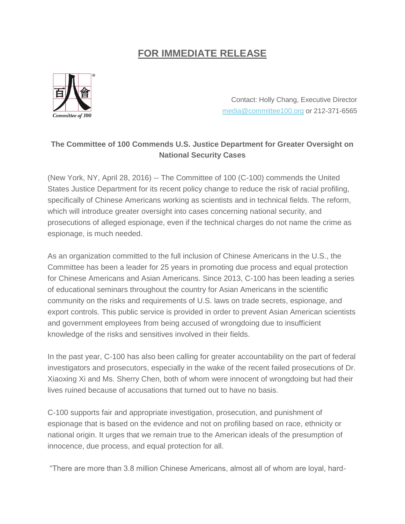## **FOR IMMEDIATE RELEASE**



Contact: Holly Chang, Executive Director [media@committee100.org](mailto:media@committee100.org) or 212-371-6565

## **The Committee of 100 Commends U.S. Justice Department for Greater Oversight on National Security Cases**

(New York, NY, April 28, 2016) -- The Committee of 100 (C-100) commends the United States Justice Department for its recent policy change to reduce the risk of racial profiling, specifically of Chinese Americans working as scientists and in technical fields. The reform, which will introduce greater oversight into cases concerning national security, and prosecutions of alleged espionage, even if the technical charges do not name the crime as espionage, is much needed.

As an organization committed to the full inclusion of Chinese Americans in the U.S., the Committee has been a leader for 25 years in promoting due process and equal protection for Chinese Americans and Asian Americans. Since 2013, C-100 has been leading a series of educational seminars throughout the country for Asian Americans in the scientific community on the risks and requirements of U.S. laws on trade secrets, espionage, and export controls. This public service is provided in order to prevent Asian American scientists and government employees from being accused of wrongdoing due to insufficient knowledge of the risks and sensitives involved in their fields.

In the past year, C-100 has also been calling for greater accountability on the part of federal investigators and prosecutors, especially in the wake of the recent failed prosecutions of Dr. Xiaoxing Xi and Ms. Sherry Chen, both of whom were innocent of wrongdoing but had their lives ruined because of accusations that turned out to have no basis.

C-100 supports fair and appropriate investigation, prosecution, and punishment of espionage that is based on the evidence and not on profiling based on race, ethnicity or national origin. It urges that we remain true to the American ideals of the presumption of innocence, due process, and equal protection for all.

"There are more than 3.8 million Chinese Americans, almost all of whom are loyal, hard-